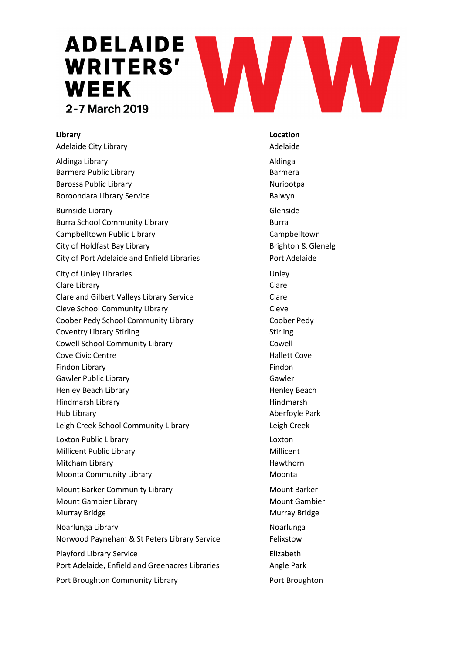# **ADELAIDE WRITERS'** WEEK 2-7 March 2019

Adelaide City Library **Adelaide Adelaide Adelaide** 

Aldinga Library **Aldinga** Aldinga Barmera Public Library **Barmera** Barmera Barossa Public Library Nuriootpa Boroondara Library Service **Balwyn** 

Burnside Library **Glenside** Burra School Community Library **Burra** Burra Campbelltown Public Library Campbelltown City of Holdfast Bay Library **Brighton & Glenelg** Brighton & Glenelg City of Port Adelaide and Enfield Libraries Port Adelaide

City of Unley Libraries **Example 2018** Unley Clare Library Clare Clare and Gilbert Valleys Library Service Clare Cleve School Community Library Cleve Coober Pedy School Community Library Coober Pedy Coventry Library Stirling The Stirling Stirling Stirling Cowell School Community Library Cowell Cove Civic Centre **Cove Civic Centre Accord Cove Civic Cove Hallett Cove** Findon Library **Findon** Gawler Public Library Gawler Henley Beach Library **Henley Beach** Hindmarsh Library **Hindmarsh** Hindmarsh Hub Library **Aberfoyle Park** Leigh Creek School Community Library **Leigh Creek** Loxton Public Library Loxton Millicent Public Library Millicent Mitcham Library **Hawthorn** Moonta Community Library Moonta Moonta Mount Barker Community Library Mount Barker Mount Gambier Library Mount Gambier Murray Bridge **Murray Bridge** Murray Bridge Noarlunga Library **Noarlunga** Communication and the Noarlunga Norwood Payneham & St Peters Library Service Felixstow Playford Library Service **Elizabeth** Port Adelaide, Enfield and Greenacres Libraries **Angle Park** Port Broughton Community Library **Port Broughton** 

**Library Location**